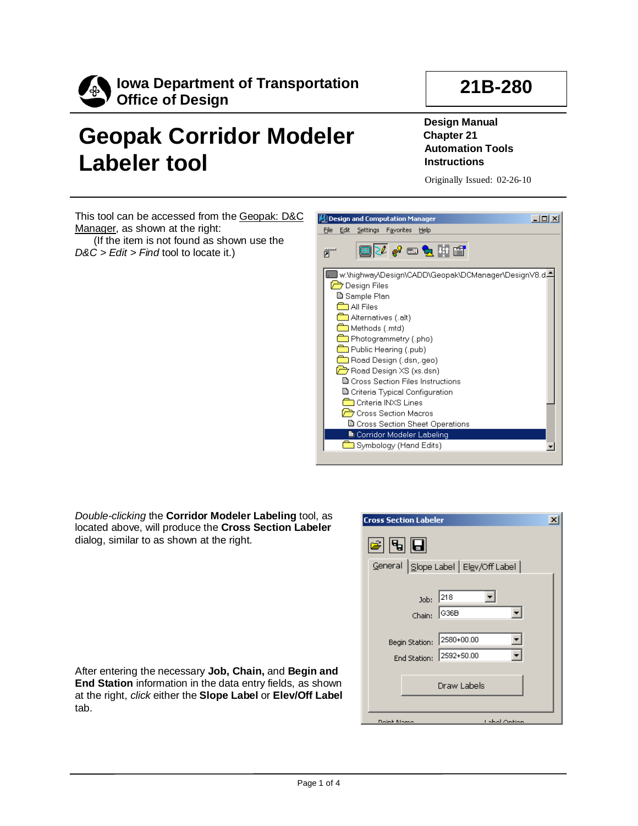

## **Geopak Corridor Modeler Labeler tool**

**Design Manual Chapter 21 Automation Tools Instructions**

Originally Issued: 02-26-10

**21B-280**

This tool can be accessed from the Geopak: D&C Manager, as shown at the right: (If the item is not found as shown use the

*D&C > Edit > Find* tool to locate it.)



**Cross Section Labeler** 

*Double-clicking* the **Corridor Modeler Labeling** tool, as located above, will produce the **Cross Section Labeler**  dialog, similar to as shown at the right.

| 21   5   6                     |                                      |
|--------------------------------|--------------------------------------|
|                                | General Slope Label   Elev/Off Label |
| Job:<br>Chain:                 | 218<br> G36B                         |
| Begin Station:<br>End Station: | 2580+00.00<br>2592+50.00             |
|                                | Draw Labels                          |
| Doint Name                     | Label Ontion                         |

 $\mathbf{x}$ 

After entering the necessary **Job, Chain,** and **Begin and End Station** information in the data entry fields, as shown at the right, *click* either the **Slope Label** or **Elev/Off Label**  tab.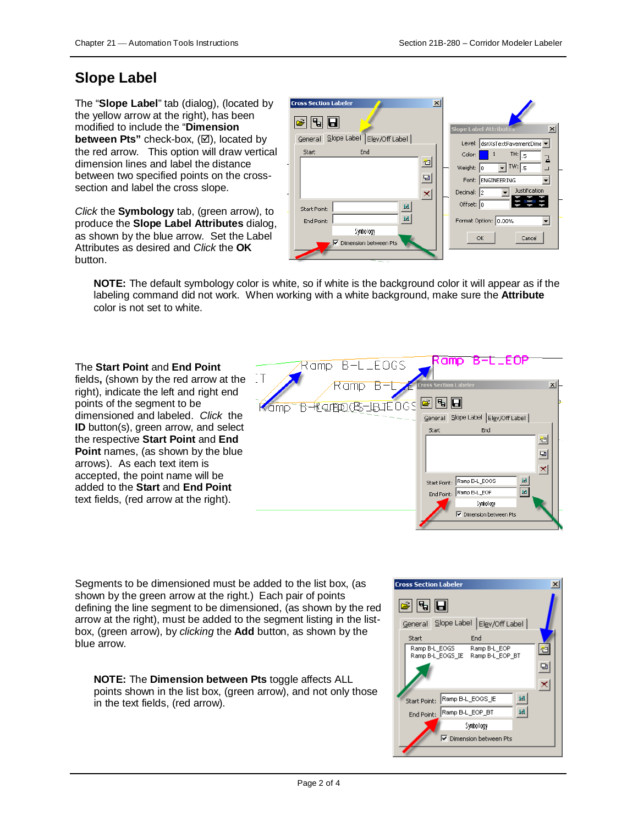## **Slope Label**

The "**Slope Label**" tab (dialog), (located by the yellow arrow at the right), has been modified to include the "**Dimension between Pts**" check-box, ( $\boxtimes$ ), located by the red arrow. This option will draw vertical dimension lines and label the distance between two specified points on the crosssection and label the cross slope.

*Click* the **Symbology** tab, (green arrow), to produce the **Slope Label Attributes** dialog, as shown by the blue arrow. Set the Label Attributes as desired and *Click* the **OK**  button.

| $\vert x \vert$<br><b>Cross Section Labeler</b> |                                                  |
|-------------------------------------------------|--------------------------------------------------|
| 9 U                                             | <b>Slope Label Attributes</b><br>$\vert x \vert$ |
| Slope Label   Elev/Off Label  <br>General       | Level: dsnXsTextPavementDime v                   |
| End<br>Start                                    | TH: 5<br>Color:<br>$\mathbf{1}$<br>긤             |
| 回                                               | $TW:$ <sub>5</sub><br>Weight: 0                  |
| Ð                                               | Font: ENGINEERING                                |
| $\boldsymbol{\times}$                           | Justification<br>Decimal:<br>l2                  |
| id<br>Start Point:                              | Offset: 0                                        |
| id<br>End Point:                                | Format Option: 0.00%                             |
| Symbology                                       | Cancel<br>ОК                                     |
| $\overline{\mathbf{v}}$ Dimension between Pts   |                                                  |
|                                                 |                                                  |

**NOTE:** The default symbology color is white, so if white is the background color it will appear as if the labeling command did not work. When working with a white background, make sure the **Attribute**  color is not set to white.

The **Start Point** and **End Point**  fields**,** (shown by the red arrow at the right), indicate the left and right end points of the segment to be dimensioned and labeled. *Click* the **ID** button(s), green arrow, and select the respective **Start Point** and **End Point** names, (as shown by the blue arrows). As each text item is accepted, the point name will be added to the **Start** and **End Point**  text fields, (red arrow at the right).



Segments to be dimensioned must be added to the list box, (as shown by the green arrow at the right.) Each pair of points defining the line segment to be dimensioned, (as shown by the red arrow at the right), must be added to the segment listing in the listbox, (green arrow), by *clicking* the **Add** button, as shown by the blue arrow.

**NOTE:** The **Dimension between Pts** toggle affects ALL points shown in the list box, (green arrow), and not only those in the text fields, (red arrow).

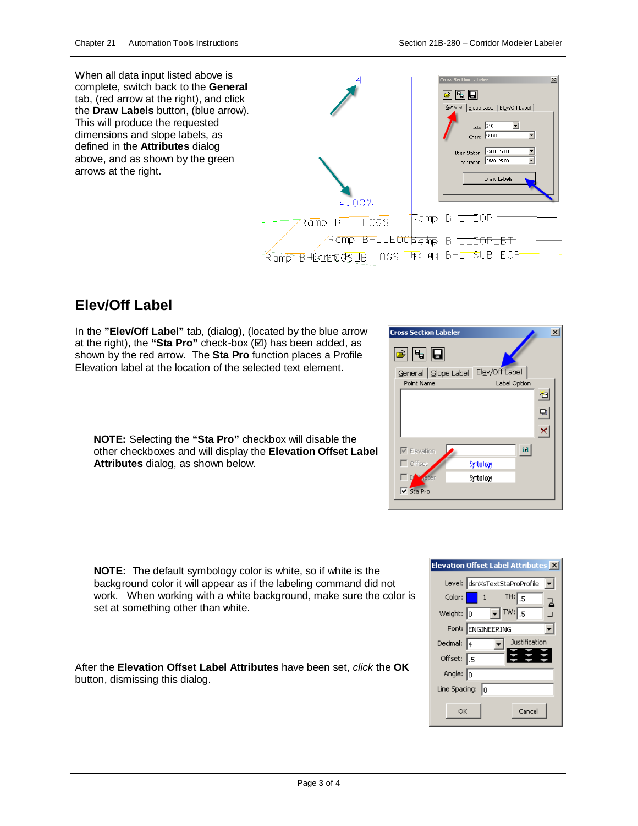When all data input listed above is complete, switch back to the **General**  tab, (red arrow at the right), and click the **Draw Labels** button, (blue arrow). This will produce the requested dimensions and slope labels, as defined in the **Attributes** dialog above, and as shown by the green arrows at the right.



**Cross Section Labeler** 

## **Elev/Off Label**

In the **"Elev/Off Label"** tab, (dialog), (located by the blue arrow at the right), the "Sta Pro" check-box  $(\boxtimes)$  has been added, as shown by the red arrow. The **Sta Pro** function places a Profile Elevation label at the location of the selected text element.



 $\vert x \vert$ 

**NOTE:** Selecting the **"Sta Pro"** checkbox will disable the other checkboxes and will display the **Elevation Offset Label Attributes** dialog, as shown below.

**NOTE:** The default symbology color is white, so if white background color it will appear as if the labeling comma work. When working with a white background, make su set at something other than white.

After the **Elevation Offset Label Attributes** have been set, *click* the **OK**  button, dismissing this dialog.



| e is the          | <b>Elevation Offset La</b>                      |
|-------------------|-------------------------------------------------|
| and did not       | Level: dsnXsTe:                                 |
| sure the color is | Color: $\begin{bmatrix} 1 \\ 1 \end{bmatrix}$ 1 |
|                   |                                                 |